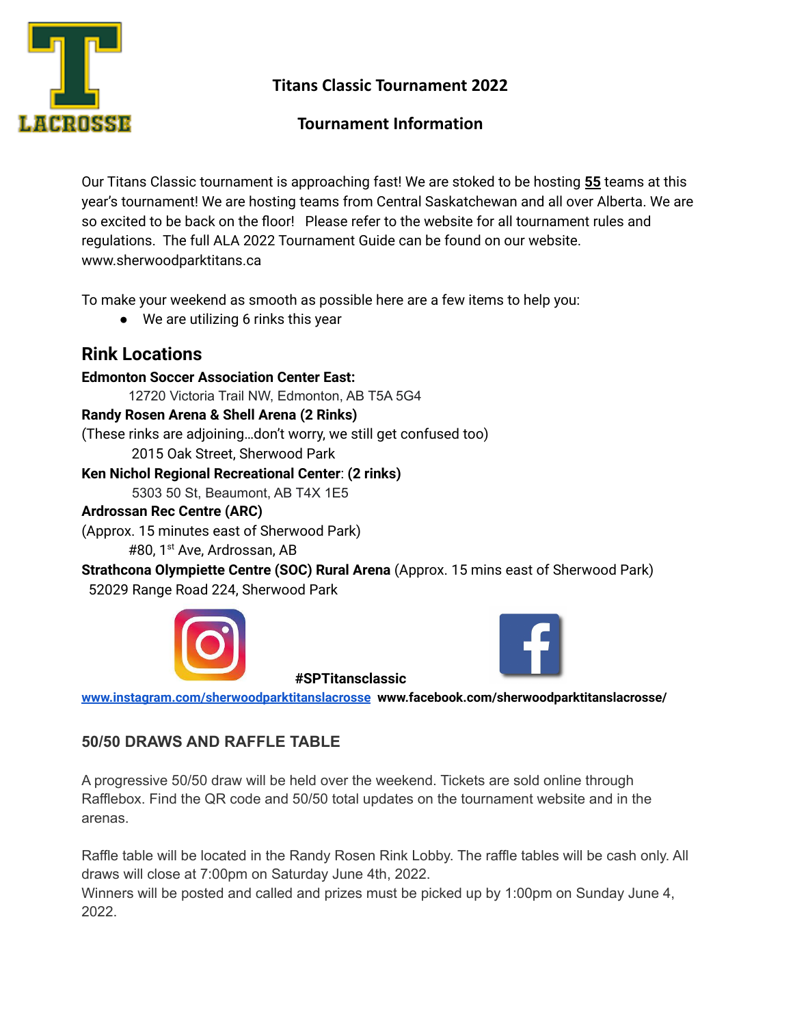

**Titans Classic Tournament 2022**

# **Tournament Information**

Our Titans Classic tournament is approaching fast! We are stoked to be hosting **55** teams at this year's tournament! We are hosting teams from Central Saskatchewan and all over Alberta. We are so excited to be back on the floor! Please refer to the website for all tournament rules and regulations. The full ALA 2022 Tournament Guide can be found on our website. www.sherwoodparktitans.ca

To make your weekend as smooth as possible here are a few items to help you:

● We are utilizing 6 rinks this year

# **Rink Locations**

**Edmonton Soccer Association Center East:** 12720 Victoria Trail NW, Edmonton, AB T5A 5G4 **Randy Rosen Arena & Shell Arena (2 Rinks)** (These rinks are adjoining…don't worry, we still get confused too) 2015 Oak Street, Sherwood Park **Ken Nichol Regional Recreational Center**: **(2 rinks)** 5303 50 St, Beaumont, AB T4X 1E5

#### **Ardrossan Rec Centre (ARC)**

(Approx. 15 minutes east of Sherwood Park) #80, 1 st Ave, Ardrossan, AB

**Strathcona Olympiette Centre (SOC) Rural Arena** (Approx. 15 mins east of Sherwood Park) 52029 Range Road 224, Sherwood Park





**[www.instagram.com/sherwoodparktitanslacrosse](http://www.instagram.com/sherwoodparktitanslacrosse) www.facebook.com/sherwoodparktitanslacrosse/**

**#SPTitansclassic**

### **50/50 DRAWS AND RAFFLE TABLE**

A progressive 50/50 draw will be held over the weekend. Tickets are sold online through Rafflebox. Find the QR code and 50/50 total updates on the tournament website and in the arenas.

Raffle table will be located in the Randy Rosen Rink Lobby. The raffle tables will be cash only. All draws will close at 7:00pm on Saturday June 4th, 2022.

Winners will be posted and called and prizes must be picked up by 1:00pm on Sunday June 4, 2022.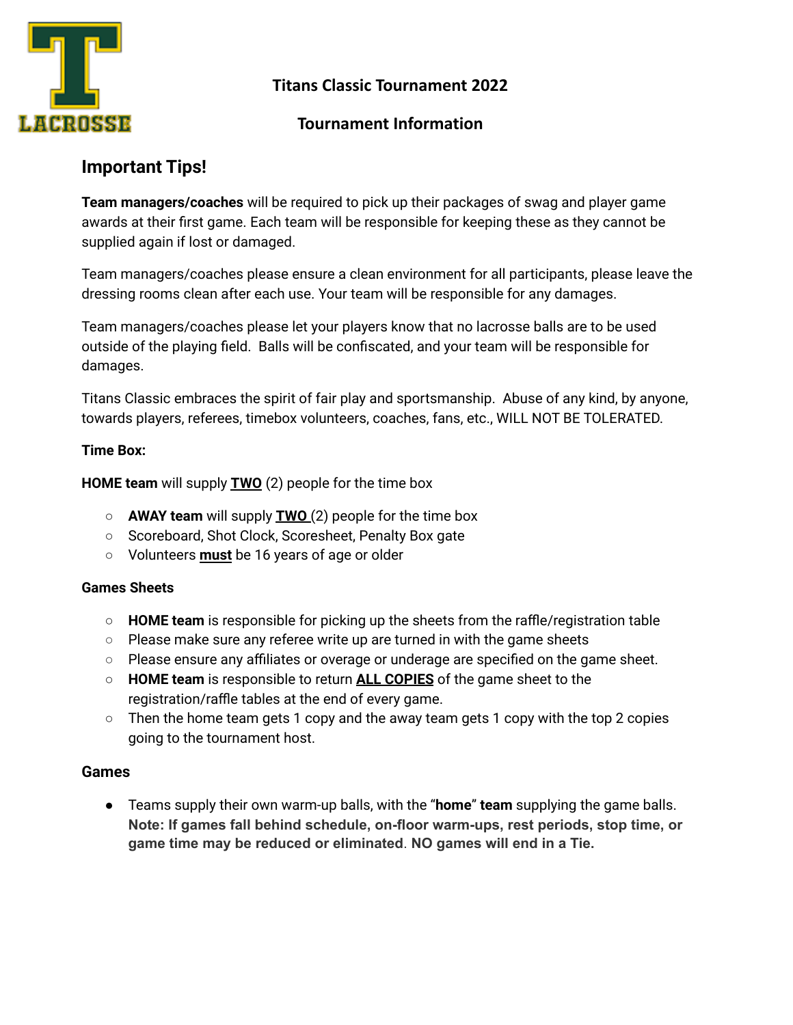

**Titans Classic Tournament 2022**

### **Tournament Information**

# **Important Tips!**

**Team managers/coaches** will be required to pick up their packages of swag and player game awards at their first game. Each team will be responsible for keeping these as they cannot be supplied again if lost or damaged.

Team managers/coaches please ensure a clean environment for all participants, please leave the dressing rooms clean after each use. Your team will be responsible for any damages.

Team managers/coaches please let your players know that no lacrosse balls are to be used outside of the playing field. Balls will be confiscated, and your team will be responsible for damages.

Titans Classic embraces the spirit of fair play and sportsmanship. Abuse of any kind, by anyone, towards players, referees, timebox volunteers, coaches, fans, etc., WILL NOT BE TOLERATED.

#### **Time Box:**

**HOME team** will supply **TWO** (2) people for the time box

- **AWAY team** will supply **TWO** (2) people for the time box
- Scoreboard, Shot Clock, Scoresheet, Penalty Box gate
- Volunteers **must** be 16 years of age or older

#### **Games Sheets**

- **HOME team** is responsible for picking up the sheets from the raffle/registration table
- Please make sure any referee write up are turned in with the game sheets
- Please ensure any affiliates or overage or underage are specified on the game sheet.
- **HOME team** is responsible to return **ALL COPIES** of the game sheet to the registration/raffle tables at the end of every game.
- Then the home team gets 1 copy and the away team gets 1 copy with the top 2 copies going to the tournament host.

#### **Games**

● Teams supply their own warm-up balls, with the "**home**" **team** supplying the game balls. **Note: If games fall behind schedule, on-floor warm-ups, rest periods, stop time, or game time may be reduced or eliminated**. **NO games will end in a Tie.**